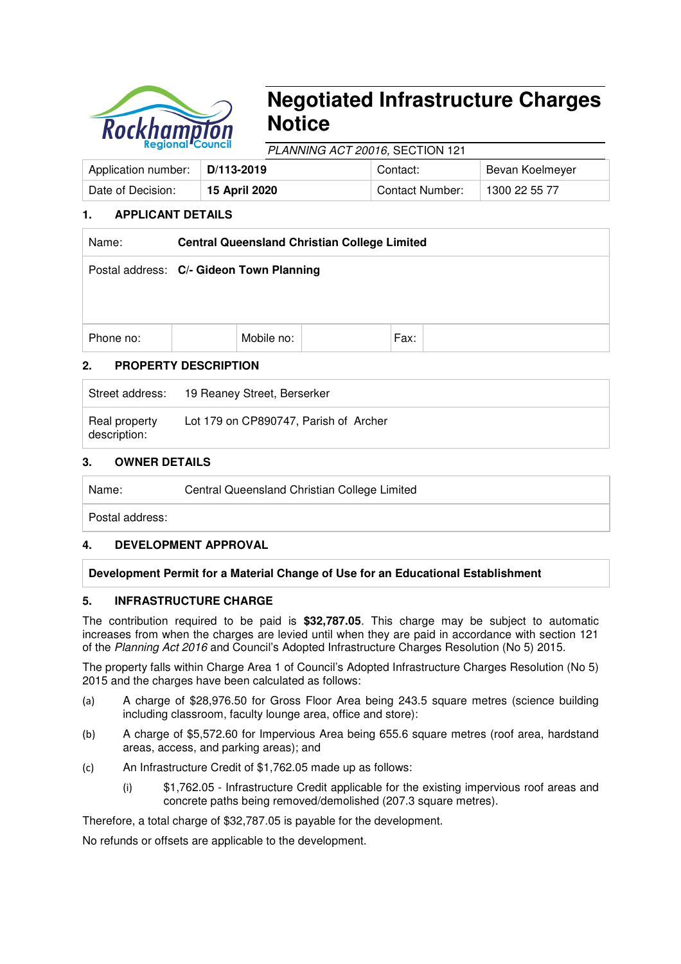

# **Negotiated Infrastructure Charges Notice**

PLANNING ACT 20016, SECTION 121

| Application number: | l D/113-2019 i | Contact:               | Bevan Koelmeyer |
|---------------------|----------------|------------------------|-----------------|
| Date of Decision:   | 15 April 2020  | <b>Contact Number:</b> | 1300 22 55 77   |

# **1. APPLICANT DETAILS**

| Name:     | <b>Central Queensland Christian College Limited</b> |  |      |  |  |  |
|-----------|-----------------------------------------------------|--|------|--|--|--|
|           | Postal address: C/- Gideon Town Planning            |  |      |  |  |  |
|           |                                                     |  |      |  |  |  |
|           |                                                     |  |      |  |  |  |
| Phone no: | Mobile no:                                          |  | Fax: |  |  |  |

# **2. PROPERTY DESCRIPTION**

|                               | Street address: 19 Reaney Street, Berserker |
|-------------------------------|---------------------------------------------|
| Real property<br>description: | Lot 179 on CP890747, Parish of Archer       |

# **3. OWNER DETAILS**

Name: Central Queensland Christian College Limited

Postal address:

# **4. DEVELOPMENT APPROVAL**

# **Development Permit for a Material Change of Use for an Educational Establishment**

# **5. INFRASTRUCTURE CHARGE**

The contribution required to be paid is **\$32,787.05**. This charge may be subject to automatic increases from when the charges are levied until when they are paid in accordance with section 121 of the Planning Act 2016 and Council's Adopted Infrastructure Charges Resolution (No 5) 2015.

The property falls within Charge Area 1 of Council's Adopted Infrastructure Charges Resolution (No 5) 2015 and the charges have been calculated as follows:

- (a) A charge of \$28,976.50 for Gross Floor Area being 243.5 square metres (science building including classroom, faculty lounge area, office and store):
- (b) A charge of \$5,572.60 for Impervious Area being 655.6 square metres (roof area, hardstand areas, access, and parking areas); and
- (c) An Infrastructure Credit of \$1,762.05 made up as follows:
	- (i) \$1,762.05 Infrastructure Credit applicable for the existing impervious roof areas and concrete paths being removed/demolished (207.3 square metres).

Therefore, a total charge of \$32,787.05 is payable for the development.

No refunds or offsets are applicable to the development.